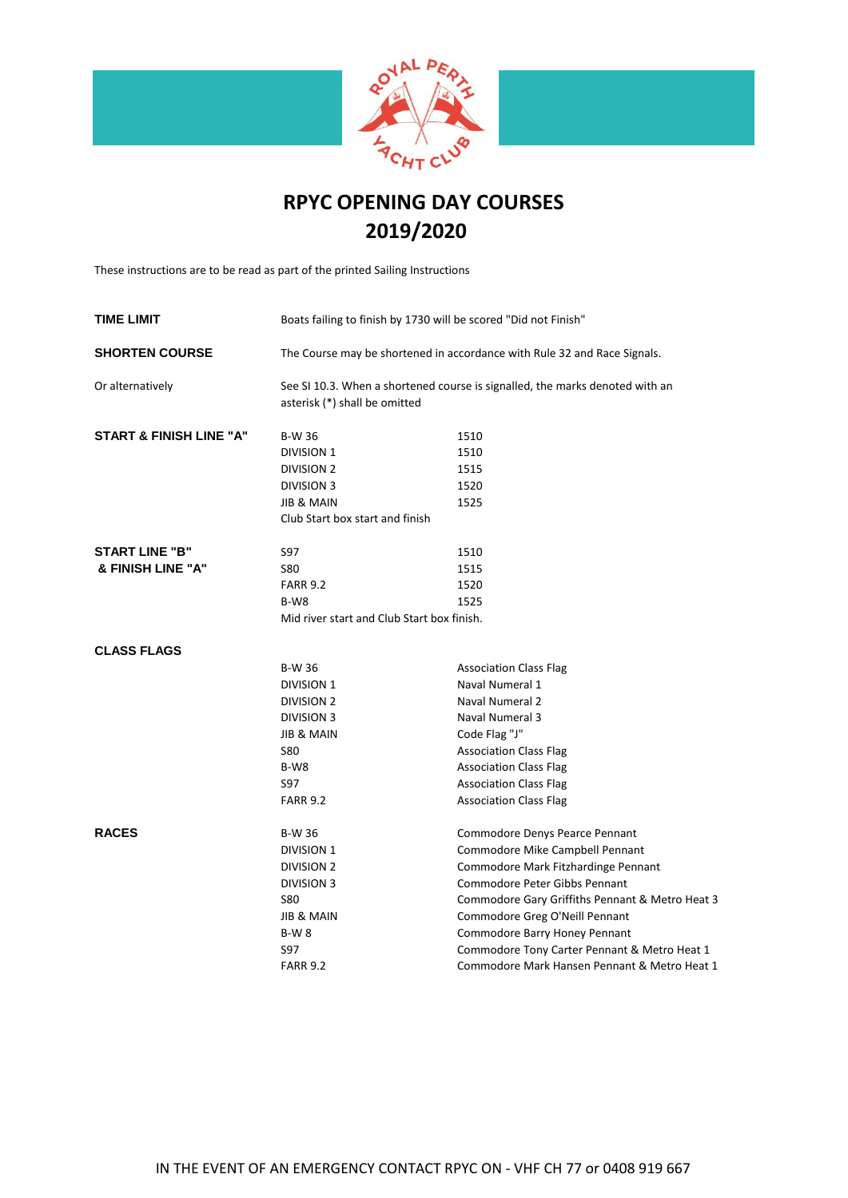

# **2019/2020 RPYC OPENING DAY COURSES**

These instructions are to be read as part of the printed Sailing Instructions

| <b>TIME LIMIT</b>                  | Boats failing to finish by 1730 will be scored "Did not Finish"          |                                                                              |  |  |
|------------------------------------|--------------------------------------------------------------------------|------------------------------------------------------------------------------|--|--|
| <b>SHORTEN COURSE</b>              | The Course may be shortened in accordance with Rule 32 and Race Signals. |                                                                              |  |  |
| Or alternatively                   | asterisk (*) shall be omitted                                            | See SI 10.3. When a shortened course is signalled, the marks denoted with an |  |  |
| <b>START &amp; FINISH LINE "A"</b> | <b>B-W 36</b>                                                            | 1510                                                                         |  |  |
|                                    | <b>DIVISION 1</b>                                                        | 1510                                                                         |  |  |
|                                    | <b>DIVISION 2</b>                                                        | 1515                                                                         |  |  |
|                                    | <b>DIVISION 3</b>                                                        | 1520                                                                         |  |  |
|                                    | <b>JIB &amp; MAIN</b>                                                    | 1525                                                                         |  |  |
|                                    | Club Start box start and finish                                          |                                                                              |  |  |
| <b>START LINE "B"</b>              | S97                                                                      | 1510                                                                         |  |  |
| & FINISH LINE "A"                  | <b>S80</b>                                                               | 1515                                                                         |  |  |
|                                    | <b>FARR 9.2</b>                                                          | 1520                                                                         |  |  |
|                                    | $B-W8$                                                                   | 1525                                                                         |  |  |
|                                    | Mid river start and Club Start box finish.                               |                                                                              |  |  |
|                                    |                                                                          |                                                                              |  |  |
| <b>CLASS FLAGS</b>                 |                                                                          |                                                                              |  |  |
|                                    | <b>B-W 36</b>                                                            | <b>Association Class Flag</b>                                                |  |  |
|                                    | DIVISION 1                                                               | Naval Numeral 1                                                              |  |  |
|                                    | <b>DIVISION 2</b>                                                        | Naval Numeral 2                                                              |  |  |
|                                    | <b>DIVISION 3</b>                                                        | Naval Numeral 3                                                              |  |  |
|                                    | <b>JIB &amp; MAIN</b>                                                    | Code Flag "J"                                                                |  |  |
|                                    | <b>S80</b>                                                               | <b>Association Class Flag</b>                                                |  |  |
|                                    | B-W8                                                                     | <b>Association Class Flag</b>                                                |  |  |
|                                    | S97                                                                      | <b>Association Class Flag</b>                                                |  |  |
|                                    | <b>FARR 9.2</b>                                                          | <b>Association Class Flag</b>                                                |  |  |
| <b>RACES</b>                       | <b>B-W 36</b>                                                            | Commodore Denys Pearce Pennant                                               |  |  |
|                                    | <b>DIVISION 1</b>                                                        | Commodore Mike Campbell Pennant                                              |  |  |
|                                    | <b>DIVISION 2</b>                                                        | Commodore Mark Fitzhardinge Pennant                                          |  |  |
|                                    | <b>DIVISION 3</b>                                                        | Commodore Peter Gibbs Pennant                                                |  |  |
|                                    | <b>S80</b>                                                               | Commodore Gary Griffiths Pennant & Metro Heat 3                              |  |  |
|                                    | <b>JIB &amp; MAIN</b>                                                    | Commodore Greg O'Neill Pennant                                               |  |  |
|                                    | <b>B-W8</b>                                                              | Commodore Barry Honey Pennant                                                |  |  |
|                                    | S97                                                                      | Commodore Tony Carter Pennant & Metro Heat 1                                 |  |  |
|                                    | <b>FARR 9.2</b>                                                          | Commodore Mark Hansen Pennant & Metro Heat 1                                 |  |  |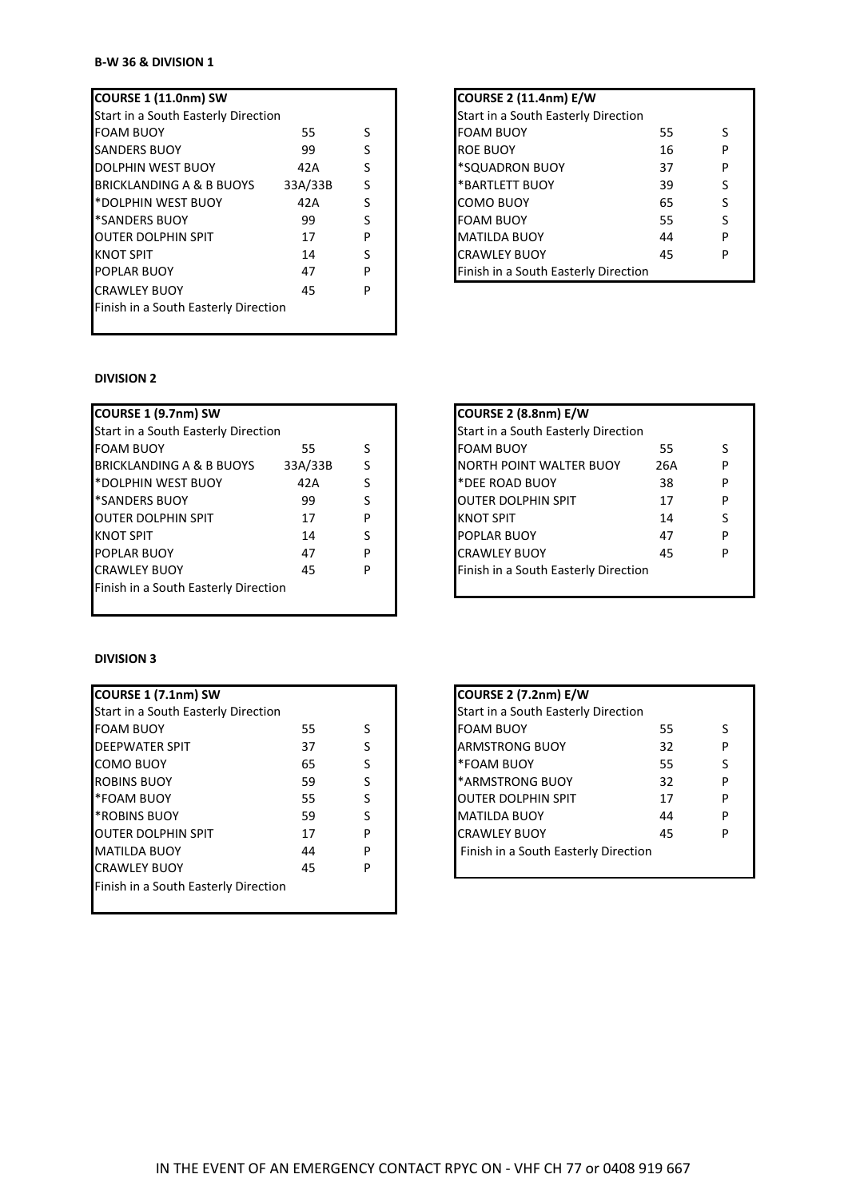### **B-W 36 & DIVISION 1**

| Start in a South Easterly Direction  |         |   | Start in a South Easterly Direction  |
|--------------------------------------|---------|---|--------------------------------------|
| <b>FOAM BUOY</b>                     | 55.     | S | <b>FOAM BUOY</b><br>55<br>S          |
| <b>SANDERS BUOY</b>                  | 99      |   | 16<br><b>ROE BUOY</b><br>P           |
| <b>DOLPHIN WEST BUOY</b>             | 42A     |   | *SQUADRON BUOY<br>37<br>P            |
| BRICKLANDING A & B BUOYS             | 33A/33B |   | <b>*BARTLETT BUOY</b><br>39<br>S     |
| <b>BEAT AND MEST BUOY</b>            | 42A     |   | 65<br><b>COMO BUOY</b><br>S          |
| *SANDERS BUOY                        | 99      |   | <b>FOAM BUOY</b><br>55<br>S          |
| <b>OUTER DOLPHIN SPIT</b>            | 17      | P | <b>MATILDA BUOY</b><br>44<br>P       |
| <b>KNOT SPIT</b>                     | 14      | S | <b>CRAWLEY BUOY</b><br>45<br>P       |
| <b>POPLAR BUOY</b>                   | 47      | P | Finish in a South Easterly Direction |
| <b>CRAWLEY BUOY</b>                  | 45      | P |                                      |
| Finish in a South Easterly Direction |         |   |                                      |
|                                      |         |   |                                      |

## **COURSE 1 (11.0nm) SW COURSE 2 (11.4nm) E/W** Start in a South Easterly Direction FOAM BUOY 55 S<br>ROE BUOY 55 S \*SQUADRON BUOY 37 P \*BARTLETT BUOY 39 S  $COMO$  BUOY 65 S **FOAM BUOY 55** S MATILDA BUOY 44 P CRAWLEY BUOY 45 P Finish in a South Easterly Direction

#### **DIVISION 2**

| COURSE 1 (9.7nm) SW                  |         |   | COURSE 2 (8.8nm) E/W                  |
|--------------------------------------|---------|---|---------------------------------------|
| Start in a South Easterly Direction  |         |   | Start in a South Easterly Direction   |
| <b>FOAM BUOY</b>                     | 55.     | S | <b>FOAM BUOY</b><br>55                |
| <b>BRICKLANDING A &amp; B BUOYS</b>  | 33A/33B | S | <b>NORTH POINT WALTER BUOY</b><br>26A |
| P*DOLPHIN WEST BUOY                  | 42A     | S | *DEE ROAD BUOY<br>38                  |
| *SANDERS BUOY                        | 99      | S | <b>OUTER DOLPHIN SPIT</b><br>17       |
| <b>OUTER DOLPHIN SPIT</b>            | 17      | P | <b>KNOT SPIT</b><br>14                |
| <b>KNOT SPIT</b>                     | 14      | S | POPLAR BUOY<br>47                     |
| <b>POPLAR BUOY</b>                   | 47      | P | <b>CRAWLEY BUOY</b><br>45             |
| <b>CRAWLEY BUOY</b>                  | 45      | P | Finish in a South Easterly Direction  |
| Finish in a South Easterly Direction |         |   |                                       |
|                                      |         |   |                                       |

#### **DIVISION 3**

| COURSE 1 (7.1nm) SW                  |    |   | <b>COURSE 2 (7.2nm) E/W</b>          |    |   |
|--------------------------------------|----|---|--------------------------------------|----|---|
| Start in a South Easterly Direction  |    |   | Start in a South Easterly Direction  |    |   |
| <b>FOAM BUOY</b>                     | 55 | S | <b>FOAM BUOY</b>                     | 55 | S |
| <b>DEEPWATER SPIT</b>                | 37 | S | <b>ARMSTRONG BUOY</b>                | 32 | P |
| <b>COMO BUOY</b>                     | 65 | S | *FOAM BUOY                           | 55 | S |
| <b>ROBINS BUOY</b>                   | 59 | S | <b>*ARMSTRONG BUOY</b>               | 32 | P |
| *FOAM BUOY                           | 55 | S | <b>OUTER DOLPHIN SPIT</b>            | 17 | P |
| <b>*ROBINS BUOY</b>                  | 59 | S | <b>MATILDA BUOY</b>                  | 44 | P |
| IOUTER DOLPHIN SPIT                  | 17 | P | <b>CRAWLEY BUOY</b>                  | 45 | P |
| <b>MATILDA BUOY</b>                  | 44 | P | Finish in a South Easterly Direction |    |   |
| <b>CRAWLEY BUOY</b>                  | 45 | P |                                      |    |   |
| Finish in a South Easterly Direction |    |   |                                      |    |   |

| COURSE 2 (8.8nm) E/W                 |     |   |  |
|--------------------------------------|-----|---|--|
| Start in a South Easterly Direction  |     |   |  |
| <b>FOAM BUOY</b>                     | 55  | ς |  |
| <b>NORTH POINT WALTER BUOY</b>       | 26A | р |  |
| *DEE ROAD BUOY                       | 38  | p |  |
| <b>OUTER DOLPHIN SPIT</b>            | 17  | р |  |
| <b>KNOT SPIT</b>                     | 14  | S |  |
| <b>POPLAR BUOY</b>                   | 47  | p |  |
| <b>CRAWLEY BUOY</b>                  | 45  | p |  |
| Finish in a South Easterly Direction |     |   |  |
|                                      |     |   |  |

| <b>COURSE 2 (7.2nm) E/W</b>                |    |   |
|--------------------------------------------|----|---|
| <b>Start in a South Easterly Direction</b> |    |   |
| <b>FOAM BUOY</b>                           | 55 | S |
| <b>ARMSTRONG BUOY</b>                      | 32 | P |
| *FOAM BUOY                                 | 55 | S |
| <b>*ARMSTRONG BUOY</b>                     | 32 | P |
| <b>OUTER DOLPHIN SPIT</b>                  | 17 | P |
| <b>MATILDA BUOY</b>                        | 44 | P |
| <b>CRAWLEY BUOY</b>                        | 45 | p |
| Finish in a South Easterly Direction       |    |   |
|                                            |    |   |